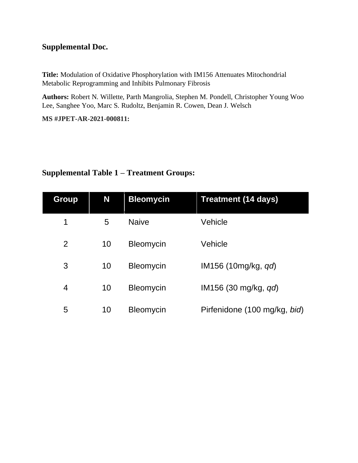#### **Supplemental Doc.**

**Title:** Modulation of Oxidative Phosphorylation with IM156 Attenuates Mitochondrial Metabolic Reprogramming and Inhibits Pulmonary Fibrosis

**Authors:** Robert N. Willette, Parth Mangrolia, Stephen M. Pondell, Christopher Young Woo Lee, Sanghee Yoo, Marc S. Rudoltz, Benjamin R. Cowen, Dean J. Welsch

**MS #JPET-AR-2021-000811:**

# **Group N Bleomycin Treatment (14 days)** 1 5 Naive Vehicle 2 10 Bleomycin Vehicle 3 10 Bleomycin IM156 (10mg/kg, *qd*) 4 10 Bleomycin IM156 (30 mg/kg, *qd*) 5 10 Bleomycin Pirfenidone (100 mg/kg, *bid*)

### **Supplemental Table 1 – Treatment Groups:**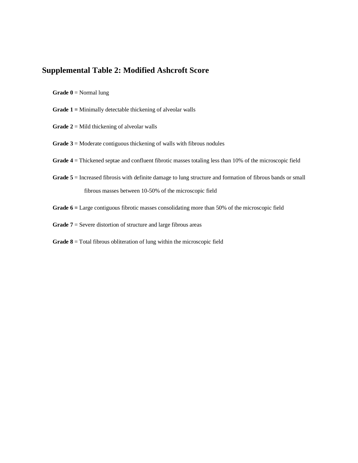#### **Supplemental Table 2: Modified Ashcroft Score**

**Grade 0** = Normal lung

- **Grade 1 =** Minimally detectable thickening of alveolar walls
- **Grade 2** = Mild thickening of alveolar walls
- **Grade 3** = Moderate contiguous thickening of walls with fibrous nodules
- Grade  $4$  = Thickened septae and confluent fibrotic masses totaling less than 10% of the microscopic field
- **Grade 5** = Increased fibrosis with definite damage to lung structure and formation of fibrous bands or small fibrous masses between 10-50% of the microscopic field
- **Grade 6 =** Large contiguous fibrotic masses consolidating more than 50% of the microscopic field
- **Grade 7** = Severe distortion of structure and large fibrous areas
- **Grade 8** = Total fibrous obliteration of lung within the microscopic field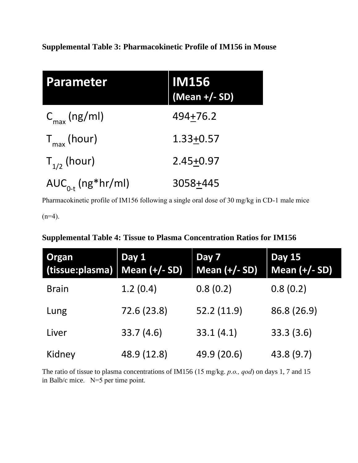| <b>Parameter</b>         | <b>IM156</b><br>(Mean +/- SD) |
|--------------------------|-------------------------------|
| $C_{\text{max}}$ (ng/ml) | $494 + 76.2$                  |
| $T_{max}$ (hour)         | $1.33 + 0.57$                 |
| $T_{1/2}$ (hour)         | $2.45 + 0.97$                 |
| $AUC_{0-t}$ (ng*hr/ml)   | 3058+445                      |

Pharmacokinetic profile of IM156 following a single oral dose of 30 mg/kg in CD-1 male mice

 $(n=4)$ .

## **Supplemental Table 4: Tissue to Plasma Concentration Ratios for IM156**

| <b>Organ</b><br>(tissue:plasma)   Mean (+/- SD) | Day 1       | Day 7<br>Mean $(+/- SD)$ | <b>Day 15</b><br>Mean (+/- SD) |
|-------------------------------------------------|-------------|--------------------------|--------------------------------|
| <b>Brain</b>                                    | 1.2(0.4)    | 0.8(0.2)                 | 0.8(0.2)                       |
| Lung                                            | 72.6 (23.8) | 52.2 (11.9)              | 86.8 (26.9)                    |
| Liver                                           | 33.7(4.6)   | 33.1(4.1)                | 33.3(3.6)                      |
| Kidney                                          | 48.9 (12.8) | 49.9 (20.6)              | 43.8 (9.7)                     |

The ratio of tissue to plasma concentrations of IM156 (15 mg/kg. *p.o., qod*) on days 1, 7 and 15 in Balb/c mice. N=5 per time point.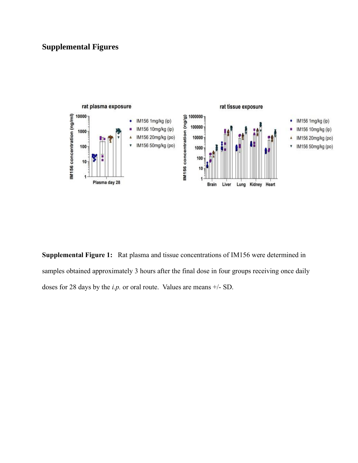## **Supplemental Figures**



**Supplemental Figure 1:** Rat plasma and tissue concentrations of IM156 were determined in samples obtained approximately 3 hours after the final dose in four groups receiving once daily doses for 28 days by the *i.p.* or oral route. Values are means +/- SD.